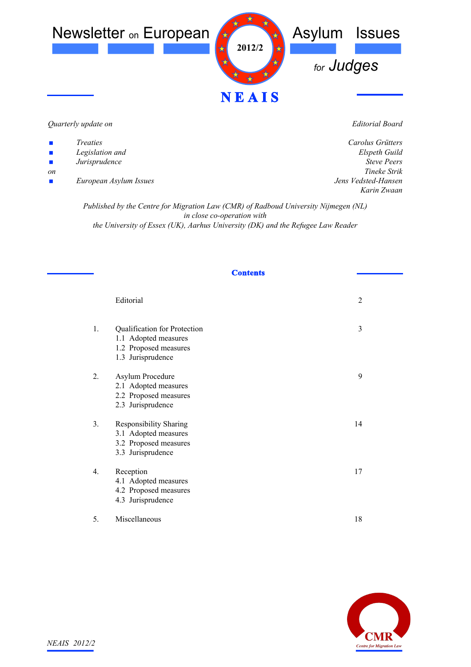

## *Quarterly update on*

- *Treaties*
- *Legislation and*
- *Jurisprudence*
- *on*
- *European Asylum Issues*

*Editorial Board*

*Carolus Grütters Elspeth Guild Steve Peers Tineke Strik Jens Vedsted-Hansen Karin Zwaan*

*Published by the Centre for Migration Law (CMR) of Radboud University Nijmegen (NL) in close co-operation with the University of Essex (UK), Aarhus University (DK) and the Refugee Law Reader*

## **Contents**

|    | Editorial                                                                                           | $\overline{2}$ |
|----|-----------------------------------------------------------------------------------------------------|----------------|
| 1. | Qualification for Protection<br>1.1 Adopted measures<br>1.2 Proposed measures<br>1.3 Jurisprudence  | 3              |
| 2. | Asylum Procedure<br>2.1 Adopted measures<br>2.2 Proposed measures<br>2.3 Jurisprudence              | 9              |
| 3. | <b>Responsibility Sharing</b><br>3.1 Adopted measures<br>3.2 Proposed measures<br>3.3 Jurisprudence | 14             |
| 4. | Reception<br>4.1 Adopted measures<br>4.2 Proposed measures<br>4.3 Jurisprudence                     | 17             |
| 5. | Miscellaneous                                                                                       | 18             |

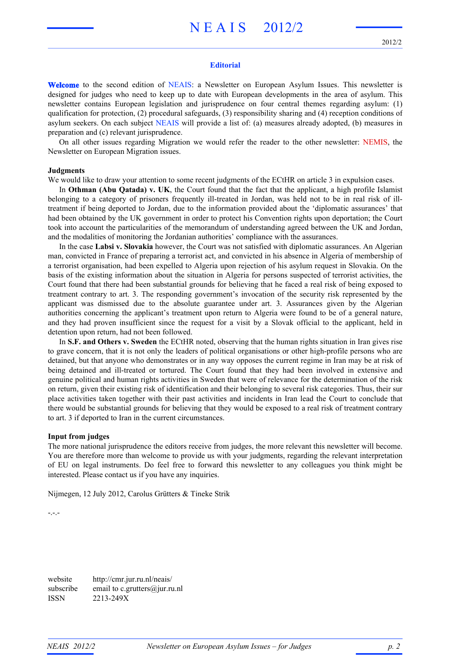# N E A I S 2012/2

## **Editorial**

**Welcome** to the second edition of NEAIS: a Newsletter on European Asylum Issues. This newsletter is designed for judges who need to keep up to date with European developments in the area of asylum. This newsletter contains European legislation and jurisprudence on four central themes regarding asylum: (1) qualification for protection, (2) procedural safeguards, (3) responsibility sharing and (4) reception conditions of asylum seekers. On each subject NEAIS will provide a list of: (a) measures already adopted, (b) measures in preparation and (c) relevant jurisprudence.

On all other issues regarding Migration we would refer the reader to the other newsletter: NEMIS, the Newsletter on European Migration issues.

## **Judgments**

We would like to draw your attention to some recent judgments of the ECtHR on article 3 in expulsion cases.

In **Othman (Abu Qatada) v. UK**, the Court found that the fact that the applicant, a high profile Islamist belonging to a category of prisoners frequently ill-treated in Jordan, was held not to be in real risk of illtreatment if being deported to Jordan, due to the information provided about the 'diplomatic assurances' that had been obtained by the UK government in order to protect his Convention rights upon deportation; the Court took into account the particularities of the memorandum of understanding agreed between the UK and Jordan, and the modalities of monitoring the Jordanian authorities' compliance with the assurances.

In the case **Labsi v. Slovakia** however, the Court was not satisfied with diplomatic assurances. An Algerian man, convicted in France of preparing a terrorist act, and convicted in his absence in Algeria of membership of a terrorist organisation, had been expelled to Algeria upon rejection of his asylum request in Slovakia. On the basis of the existing information about the situation in Algeria for persons suspected of terrorist activities, the Court found that there had been substantial grounds for believing that he faced a real risk of being exposed to treatment contrary to art. 3. The responding government's invocation of the security risk represented by the applicant was dismissed due to the absolute guarantee under art. 3. Assurances given by the Algerian authorities concerning the applicant's treatment upon return to Algeria were found to be of a general nature, and they had proven insufficient since the request for a visit by a Slovak official to the applicant, held in detention upon return, had not been followed.

In **S.F. and Others v. Sweden** the ECtHR noted, observing that the human rights situation in Iran gives rise to grave concern, that it is not only the leaders of political organisations or other high-profile persons who are detained, but that anyone who demonstrates or in any way opposes the current regime in Iran may be at risk of being detained and ill-treated or tortured. The Court found that they had been involved in extensive and genuine political and human rights activities in Sweden that were of relevance for the determination of the risk on return, given their existing risk of identification and their belonging to several risk categories. Thus, their sur place activities taken together with their past activities and incidents in Iran lead the Court to conclude that there would be substantial grounds for believing that they would be exposed to a real risk of treatment contrary to art. 3 if deported to Iran in the current circumstances.

#### **Input from judges**

The more national jurisprudence the editors receive from judges, the more relevant this newsletter will become. You are therefore more than welcome to provide us with your judgments, regarding the relevant interpretation of EU on legal instruments. Do feel free to forward this newsletter to any colleagues you think might be interested. Please contact us if you have any inquiries.

Nijmegen, 12 July 2012, Carolus Grütters & Tineke Strik

-.-.-

website http://cmr.jur.ru.nl/neais/ subscribe email to c.grutters@jur.ru.nl ISSN 2213-249X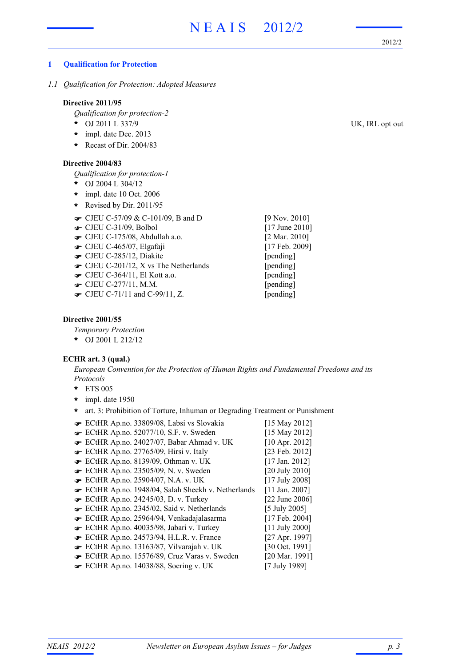2012/2

## **1 Qualification for Protection**

*1.1 Qualification for Protection: Adopted Measures*

## **Directive 2011/95**

*Qualification for protection-2*

- OJ 2011 L 337/9 UK, IRL opt out **\***
- impl. date Dec. 2013 **\***
- **\*** Recast of Dir. 2004/83

#### **Directive 2004/83**

*Qualification for protection-1*

- OJ 2004 L 304/12 **\***
- impl. date 10 Oct. 2006 **\***
- **\*** Revised by Dir. 2011/95
- $\bullet$  CJEU C-57/09 & C-101/09, B and D [9 Nov. 2010]
- **■** CJEU C-31/09, Bolbol [17 June 2010]
- CJEU C-175/08, Abdullah a.o. [2 Mar. 2010] !
- **•** CJEU C-465/07, Elgafaji [17 Feb. 2009]
- CJEU C-285/12, Diakite [pending]
- CJEU C-201/12, X vs The Netherlands [pending]
- CJEU C-364/11, El Kott a.o. [pending] !
- **The CJEU C-277/11, M.M.** [pending]
- $\bullet$  CJEU C-71/11 and C-99/11, Z. [pending]

#### **Directive 2001/55**

*Temporary Protection*

OJ 2001 L 212/12 **\***

#### **ECHR art. 3 (qual.)**

*European Convention for the Protection of Human Rights and Fundamental Freedoms and its Protocols*

- ETS 005 **\***
- impl. date 1950 **\***
- **\*** art. 3: Prohibition of Torture, Inhuman or Degrading Treatment or Punishment
- ECtHR Ap.no. 33809/08, Labsi vs Slovakia [15 May 2012] ! ECtHR Ap.no. 52077/10, S.F. v. Sweden [15 May 2012] ! ECtHR Ap.no. 24027/07, Babar Ahmad v. UK [10 Apr. 2012] ! **■** ECtHR Ap.no. 27765/09, Hirsi v. Italy [23 Feb. 2012] **■** ECtHR Ap.no. 8139/09, Othman v. UK [17 Jan. 2012] ECtHR Ap.no. 23505/09, N. v. Sweden [20 July 2010] ! **■** ECtHR Ap.no. 25904/07, N.A. v. UK [17 July 2008] ECtHR Ap.no. 1948/04, Salah Sheekh v. Netherlands [11 Jan. 2007] ! ECtHR Ap.no. 24245/03, D. v. Turkey [22 June 2006] ! ECtHR Ap.no. 2345/02, Said v. Netherlands [5 July 2005] ! ECtHR Ap.no. 25964/94, Venkadajalasarma [17 Feb. 2004] ! ECtHR Ap.no. 40035/98, Jabari v. Turkey [11 July 2000] ! ECtHR Ap.no. 24573/94, H.L.R. v. France [27 Apr. 1997] ! ECtHR Ap.no. 13163/87, Vilvarajah v. UK [30 Oct. 1991] ! ECtHR Ap.no. 15576/89, Cruz Varas v. Sweden [20 Mar. 1991] ! ECtHR Ap.no. 14038/88, Soering v. UK [7 July 1989] !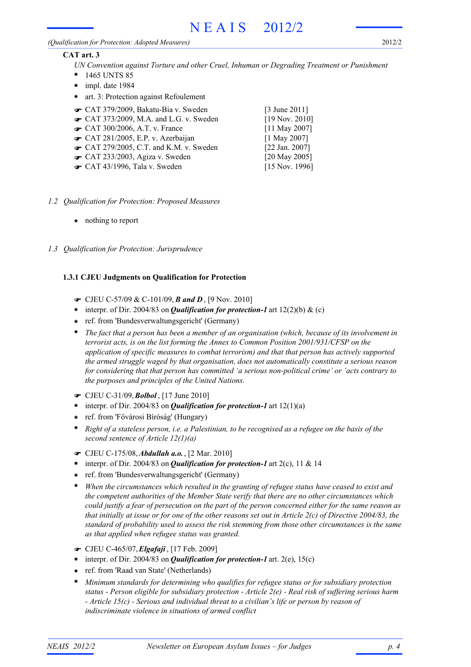#### *(Qualification for Protection: Adopted Measures)*

2012/2

## **CAT art. 3**

- *UN Convention against Torture and other Cruel, Inhuman or Degrading Treatment or Punishment*
- 1465 UNTS 85 **\***
- impl. date 1984 **\***
- **\*** art. 3: Protection against Refoulement
- **■** CAT 379/2009, Bakatu-Bia v. Sweden [3 June 2011]
- $\bullet$  CAT 373/2009, M.A. and L.G. v. Sweden [19 Nov. 2010]
- CAT 300/2006, A.T. v. France [11 May 2007]
- $\bullet$  CAT 281/2005, E.P. v. Azerbaijan [1 May 2007]
- $\bullet$  CAT 279/2005, C.T. and K.M. v. Sweden [22 Jan. 2007]
- $\bullet$  CAT 233/2003, Agiza v. Sweden [20 May 2005]
- **■** CAT 43/1996, Tala v. Sweden [15 Nov. 1996]

- *1.2 Qualification for Protection: Proposed Measures*
	- **\*** nothing to report
- *1.3 Qualification for Protection: Jurisprudence*

# **1.3.1 CJEU Judgments on Qualification for Protection**

- ! CJEU C-57/09 & C-101/09, *B and D* , [9 Nov. 2010]
- \* interpr. of Dir. 2004/83 on *Qualification for protection-1* art 12(2)(b) & (c)
- ref. from 'Bundesverwaltungsgericht' (Germany) **\***
- *The fact that a person has been a member of an organisation (which, because of its involvement in terrorist acts, is on the list forming the Annex to Common Position 2001/931/CFSP on the application of specific measures to combat terrorism) and that that person has actively supported the armed struggle waged by that organisation, does not automatically constitute a serious reason for considering that that person has committed 'a serious non-political crime' or 'acts contrary to the purposes and principles of the United Nations.* **\***
- ! CJEU C-31/09,*Bolbol* , [17 June 2010]
- \* interpr. of Dir. 2004/83 on *Qualification for protection-1* art  $12(1)(a)$
- ref. from 'Fővárosi Bíróság' (Hungary) **\***
- *Right of a stateless person, i.e. a Palestinian, to be recognised as a refugee on the basis of the* **\*** *second sentence of Article 12(1)(a)*
- ! CJEU C-175/08,*Abdullah a.o.*, [2 Mar. 2010]
- \* interpr. of Dir. 2004/83 on *Qualification for protection-1* art 2(c), 11 & 14
- ref. from 'Bundesverwaltungsgericht' (Germany) **\***
- *When the circumstances which resulted in the granting of refugee status have ceased to exist and the competent authorities of the Member State verify that there are no other circumstances which could justify a fear of persecution on the part of the person concerned either for the same reason as that initially at issue or for one of the other reasons set out in Article 2(c) of Directive 2004/83, the standard of probability used to assess the risk stemming from those other circumstances is the same as that applied when refugee status was granted.* **\***
- ! CJEU C-465/07,*Elgafaji* , [17 Feb. 2009]
- \* interpr. of Dir. 2004/83 on *Qualification for protection-1* art. 2(e), 15(c)
- ref. from 'Raad van State' (Netherlands) **\***
- *Minimum standards for determining who qualifies for refugee status or for subsidiary protection status - Person eligible for subsidiary protection - Article 2(e) - Real risk of suffering serious harm - Article 15(c) - Serious and individual threat to a civilian's life or person by reason of indiscriminate violence in situations of armed conflict* **\***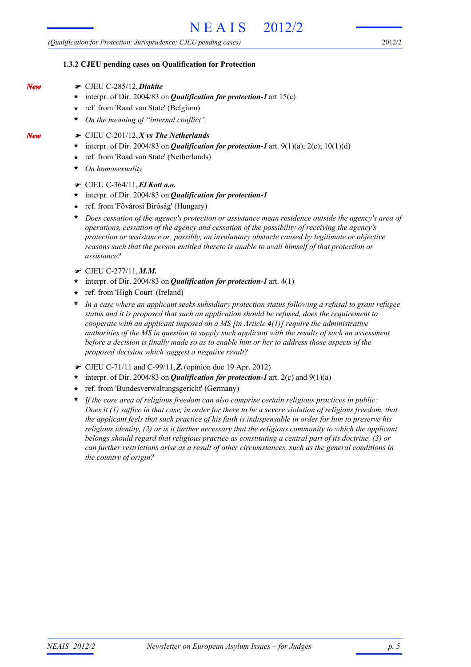2012/2

## **1.3.2 CJEU pending cases on Qualification for Protection**

- ! CJEU C-285/12,*Diakite*
	- \* interpr. of Dir. 2004/83 on **Qualification for protection-1** art 15(c)
	- ref. from 'Raad van State' (Belgium) **\***
	- *On the meaning of "internal conflict".* **\***
	- ! CJEU C-201/12,*X vs The Netherlands*
	- interpr. of Dir. 2004/83 on *Qualification for protection-1* art. 9(1)(a); 2(c); 10(1)(d) **\***
	- ref. from 'Raad van State' (Netherlands) **\***
	- *On homosexuality* **\***
	- ! CJEU C-364/11,*El Kott a.o.*
	- interpr. of Dir. 2004/83 on *Qualification for protection-1* **\***
	- ref. from 'Fővárosi Bíróság' (Hungary) **\***
	- *Does cessation of the agency's protection or assistance mean residence outside the agency's area of operations, cessation of the agency and cessation of the possibility of receiving the agency's protection or assistance or, possibly, an involuntary obstacle caused by legitimate or objective reasons such that the person entitled thereto is unable to avail himself of that protection or assistance?* **\***
	- ! CJEU C-277/11,*M.M.*
	- \* interpr. of Dir. 2004/83 on *Qualification for protection-1* art. 4(1)
	- ref. from 'High Court' (Ireland) **\***
	- *In a case where an applicant seeks subsidiary protection status following a refusal to grant refugee status and it is proposed that such an application should be refused, does the requirement to cooperate with an applicant imposed on a MS [in Article 4(1)] require the administrative authorities of the MS in question to supply such applicant with the results of such an assessment before a decision is finally made so as to enable him or her to address those aspects of the proposed decision which suggest a negative result?* **\***
	- ! CJEU C-71/11 and C-99/11,*Z.*(opinion due 19 Apr. 2012)
	- interpr. of Dir. 2004/83 on *Qualification for protection-1* art. 2(c) and 9(1)(a) **\***
	- ref. from 'Bundesverwaltungsgericht' (Germany) **\***
	- *If the core area of religious freedom can also comprise certain religious practices in public: Does it (1) suffice in that case, in order for there to be a severe violation of religious freedom, that the applicant feels that such practice of his faith is indispensable in order for him to preserve his religious identity, (2) or is it further necessary that the religious community to which the applicant belongs should regard that religious practice as constituting a central part of its doctrine, (3) or can further restrictions arise as a result of other circumstances, such as the general conditions in the country of origin?* **\***

*New*

*New*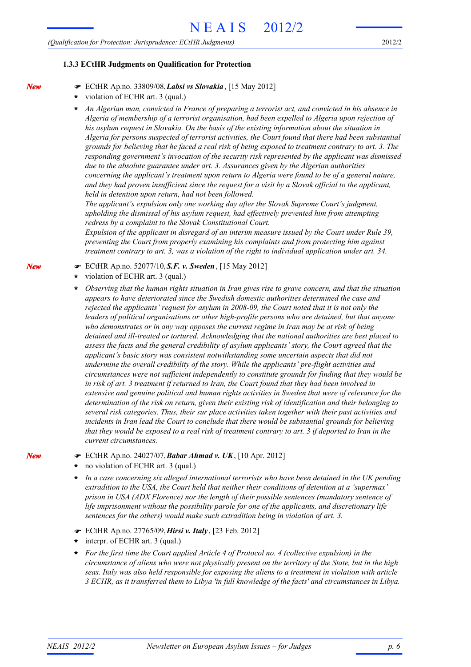#### **1.3.3 ECtHR Judgments on Qualification for Protection**

- ! ECtHR Ap.no. 33809/08,*Labsi vs Slovakia* , [15 May 2012]
- violation of ECHR art. 3 (qual.) **\***

*An Algerian man, convicted in France of preparing a terrorist act, and convicted in his absence in Algeria of membership of a terrorist organisation, had been expelled to Algeria upon rejection of his asylum request in Slovakia. On the basis of the existing information about the situation in Algeria for persons suspected of terrorist activities, the Court found that there had been substantial grounds for believing that he faced a real risk of being exposed to treatment contrary to art. 3. The responding government's invocation of the security risk represented by the applicant was dismissed due to the absolute guarantee under art. 3. Assurances given by the Algerian authorities concerning the applicant's treatment upon return to Algeria were found to be of a general nature, and they had proven insufficient since the request for a visit by a Slovak official to the applicant, held in detention upon return, had not been followed.* **\***

*The applicant's expulsion only one working day after the Slovak Supreme Court's judgment, upholding the dismissal of his asylum request, had effectively prevented him from attempting redress by a complaint to the Slovak Constitutional Court.*

*Expulsion of the applicant in disregard of an interim measure issued by the Court under Rule 39, preventing the Court from properly examining his complaints and from protecting him against treatment contrary to art. 3, was a violation of the right to individual application under art. 34.*

- ! ECtHR Ap.no. 52077/10,*S.F. v. Sweden*, [15 May 2012]
- violation of ECHR art. 3 (qual.) **\***
- *Observing that the human rights situation in Iran gives rise to grave concern, and that the situation appears to have deteriorated since the Swedish domestic authorities determined the case and rejected the applicants' request for asylum in 2008-09, the Court noted that it is not only the leaders of political organisations or other high-profile persons who are detained, but that anyone who demonstrates or in any way opposes the current regime in Iran may be at risk of being detained and ill-treated or tortured. Acknowledging that the national authorities are best placed to assess the facts and the general credibility of asylum applicants' story, the Court agreed that the applicant's basic story was consistent notwithstanding some uncertain aspects that did not undermine the overall credibility of the story. While the applicants' pre-flight activities and circumstances were not sufficient independently to constitute grounds for finding that they would be in risk of art. 3 treatment if returned to Iran, the Court found that they had been involved in extensive and genuine political and human rights activities in Sweden that were of relevance for the determination of the risk on return, given their existing risk of identification and their belonging to several risk categories. Thus, their sur place activities taken together with their past activities and incidents in Iran lead the Court to conclude that there would be substantial grounds for believing that they would be exposed to a real risk of treatment contrary to art. 3 if deported to Iran in the current circumstances.* **\***
- ! ECtHR Ap.no. 24027/07,*Babar Ahmad v. UK*, [10 Apr. 2012]
- no violation of ECHR art. 3 (qual.) **\***

*In a case concerning six alleged international terrorists who have been detained in the UK pending extradition to the USA, the Court held that neither their conditions of detention at a 'supermax' prison in USA (ADX Florence) nor the length of their possible sentences (mandatory sentence of life imprisonment without the possibility parole for one of the applicants, and discretionary life sentences for the others) would make such extradition being in violation of art. 3.* **\***

- ! ECtHR Ap.no. 27765/09,*Hirsi v. Italy*, [23 Feb. 2012]
- interpr. of ECHR art. 3 (qual.) **\***
- *For the first time the Court applied Article 4 of Protocol no. 4 (collective expulsion) in the circumstance of aliens who were not physically present on the territory of the State, but in the high seas. Italy was also held responsible for exposing the aliens to a treatment in violation with article 3 ECHR, as it transferred them to Libya 'in full knowledge of the facts' and circumstances in Libya.* **\***

*New*

*New*

*New*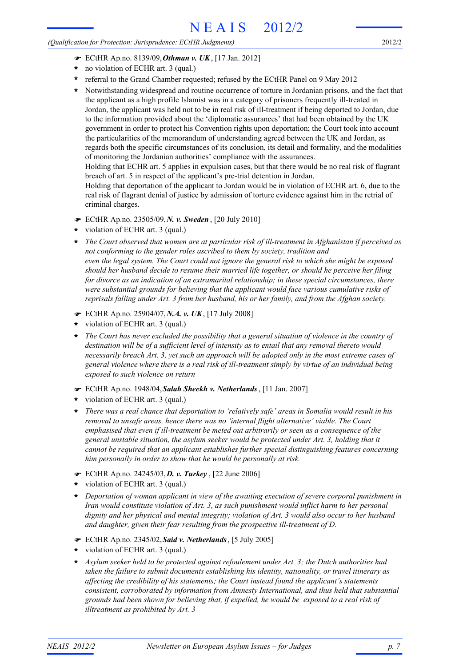## *(Qualification for Protection: Jurisprudence: ECtHR Judgments)*

2012/2

- ! ECtHR Ap.no. 8139/09,*Othman v. UK*, [17 Jan. 2012]
- no violation of ECHR art. 3 (qual.) **\***
- referral to the Grand Chamber requested; refused by the ECtHR Panel on 9 May 2012 **\***
- Notwithstanding widespread and routine occurrence of torture in Jordanian prisons, and the fact that the applicant as a high profile Islamist was in a category of prisoners frequently ill-treated in Jordan, the applicant was held not to be in real risk of ill-treatment if being deported to Jordan, due to the information provided about the 'diplomatic assurances' that had been obtained by the UK government in order to protect his Convention rights upon deportation; the Court took into account the particularities of the memorandum of understanding agreed between the UK and Jordan, as regards both the specific circumstances of its conclusion, its detail and formality, and the modalities of monitoring the Jordanian authorities' compliance with the assurances. Holding that ECHR art. 5 applies in expulsion cases, but that there would be no real risk of flagrant **\***

breach of art. 5 in respect of the applicant's pre-trial detention in Jordan.

Holding that deportation of the applicant to Jordan would be in violation of ECHR art. 6, due to the real risk of flagrant denial of justice by admission of torture evidence against him in the retrial of criminal charges.

- ! ECtHR Ap.no. 23505/09,*N. v. Sweden* , [20 July 2010]
- violation of ECHR art. 3 (qual.) **\***
- *The Court observed that women are at particular risk of ill-treatment in Afghanistan if perceived as not conforming to the gender roles ascribed to them by society, tradition and even the legal system. The Court could not ignore the general risk to which she might be exposed should her husband decide to resume their married life together, or should he perceive her filing for divorce as an indication of an extramarital relationship; in these special circumstances, there were substantial grounds for believing that the applicant would face various cumulative risks of reprisals falling under Art. 3 from her husband, his or her family, and from the Afghan society.* **\***
- ! ECtHR Ap.no. 25904/07,*N.A. v. UK*, [17 July 2008]
- violation of ECHR art. 3 (qual.) **\***
- *The Court has never excluded the possibility that a general situation of violence in the country of destination will be of a sufficient level of intensity as to entail that any removal thereto would necessarily breach Art. 3, yet such an approach will be adopted only in the most extreme cases of general violence where there is a real risk of ill-treatment simply by virtue of an individual being exposed to such violence on return* **\***
- ! ECtHR Ap.no. 1948/04,*Salah Sheekh v. Netherlands*, [11 Jan. 2007]
- violation of ECHR art. 3 (qual.) **\***
- *There was a real chance that deportation to 'relatively safe' areas in Somalia would result in his removal to unsafe areas, hence there was no 'internal flight alternative' viable. The Court emphasised that even if ill-treatment be meted out arbitrarily or seen as a consequence of the general unstable situation, the asylum seeker would be protected under Art. 3, holding that it cannot be required that an applicant establishes further special distinguishing features concerning him personally in order to show that he would be personally at risk.* **\***
- ! ECtHR Ap.no. 24245/03,*D. v. Turkey* , [22 June 2006]
- violation of ECHR art. 3 (qual.) **\***
- *Deportation of woman applicant in view of the awaiting execution of severe corporal punishment in Iran would constitute violation of Art. 3, as such punishment would inflict harm to her personal dignity and her physical and mental integrity; violation of Art. 3 would also occur to her husband and daughter, given their fear resulting from the prospective ill-treatment of D.* **\***
- ! ECtHR Ap.no. 2345/02,*Said v. Netherlands*, [5 July 2005]
- violation of ECHR art. 3 (qual.) **\***
- *Asylum seeker held to be protected against refoulement under Art. 3; the Dutch authorities had taken the failure to submit documents establishing his identity, nationality, or travel itinerary as affecting the credibility of his statements; the Court instead found the applicant's statements consistent, corroborated by information from Amnesty International, and thus held that substantial grounds had been shown for believing that, if expelled, he would be exposed to a real risk of illtreatment as prohibited by Art. 3* **\***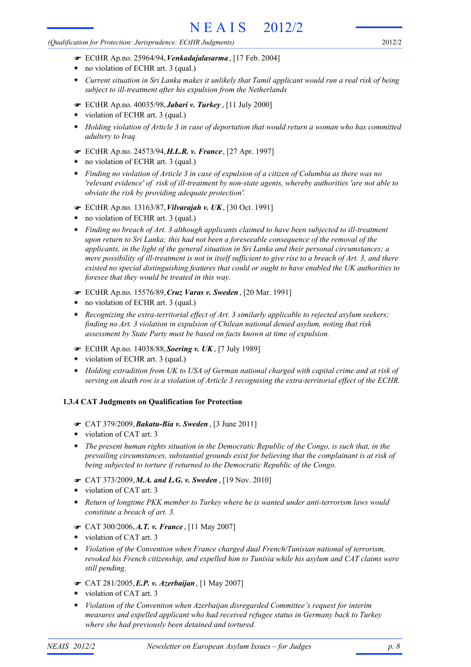*(Qualification for Protection: Jurisprudence: ECtHR Judgments)*

- ! ECtHR Ap.no. 25964/94,*Venkadajalasarma*, [17 Feb. 2004]
- no violation of ECHR art. 3 (qual.) **\***
- *Current situation in Sri Lanka makes it unlikely that Tamil applicant would run a real risk of being subject to ill-treatment after his expulsion from the Netherlands* **\***
- ! ECtHR Ap.no. 40035/98,*Jabari v. Turkey* , [11 July 2000]
- violation of ECHR art. 3 (qual.) **\***
- *Holding violation of Article 3 in case of deportation that would return a woman who has committed adultery to Iraq.* **\***
- ! ECtHR Ap.no. 24573/94,*H.L.R. v. France*, [27 Apr. 1997]
- no violation of ECHR art. 3 (qual.) **\***
- *Finding no violation of Article 3 in case of expulsion of a citizen of Columbia as there was no* **\*** *'relevant evidence' of risk of ill-treatment by non-state agents, whereby authorities 'are not able to obviate the risk by providing adequate protection'.*
- ! ECtHR Ap.no. 13163/87,*Vilvarajah v. UK*, [30 Oct. 1991]
- no violation of ECHR art. 3 (qual.) **\***
- *Finding no breach of Art. 3 although applicants claimed to have been subjected to ill-treatment* **\*** *upon return to Sri Lanka; this had not been a foreseeable consequence of the removal of the applicants, in the light of the general situation in Sri Lanka and their personal circumstances; a mere possibility of ill-treatment is not in itself sufficient to give rise to a breach of Art. 3, and there existed no special distinguishing features that could or ought to have enabled the UK authorities to foresee that they would be treated in this way.*
- ! ECtHR Ap.no. 15576/89,*Cruz Varas v. Sweden* , [20 Mar. 1991]
- no violation of ECHR art. 3 (qual.) **\***
- *Recognizing the extra-territorial effect of Art. 3 similarly applicable to rejected asylum seekers;* **\*** *finding no Art. 3 violation in expulsion of Chilean national denied asylum, noting that risk assessment by State Party must be based on facts known at time of expulsion.*
- ! ECtHR Ap.no. 14038/88,*Soering v. UK* , [7 July 1989]
- violation of ECHR art. 3 (qual.) **\***
- *Holding extradition from UK to USA of German national charged with capital crime and at risk of serving on death row is a violation of Article 3 recognising the extra-territorial effect of the ECHR.* **\***

# **1.3.4 CAT Judgments on Qualification for Protection**

- ! CAT 379/2009,*Bakatu-Bia v. Sweden* , [3 June 2011]
- violation of CAT art. 3 **\***
- *The present human rights situation in the Democratic Republic of the Congo, is such that, in the* **\*** *prevailing circumstances, substantial grounds exist for believing that the complainant is at risk of being subjected to torture if returned to the Democratic Republic of the Congo.*
- ! CAT 373/2009,*M.A. and L.G. v. Sweden* , [19 Nov. 2010]
- violation of CAT art. 3 **\***
- *Return of longtime PKK member to Turkey where he is wanted under anti-terrorism laws would constitute a breach of art. 3.* **\***
- ! CAT 300/2006,*A.T. v. France* , [11 May 2007]
- violation of CAT art. 3 **\***
- *Violation of the Convention when France charged dual French/Tunisian national of terrorism, revoked his French citizenship, and expelled him to Tunisia while his asylum and CAT claims were still pending.* **\***
- ! CAT 281/2005,*E.P. v. Azerbaijan*, [1 May 2007]
- violation of CAT art. 3 **\***
- *Violation of the Convention when Azerbaijan disregarded Committee's request for interim measures and expelled applicant who had received refugee status in Germany back to Turkey where she had previously been detained and tortured.* **\***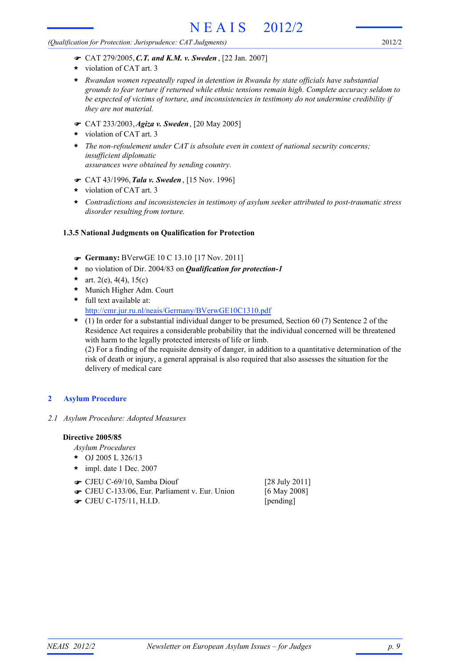*(Qualification for Protection: Jurisprudence: CAT Judgments)*

- violation of CAT art. 3 **\***
- *Rwandan women repeatedly raped in detention in Rwanda by state officials have substantial* **\*** *grounds to fear torture if returned while ethnic tensions remain high. Complete accuracy seldom to be expected of victims of torture, and inconsistencies in testimony do not undermine credibility if they are not material.*
- ! CAT 233/2003,*Agiza v. Sweden*, [20 May 2005]
- violation of CAT art. 3 **\***
- *The non-refoulement under CAT is absolute even in context of national security concerns; insufficient diplomatic assurances were obtained by sending country.* **\***
- ! CAT 43/1996,*Tala v. Sweden* , [15 Nov. 1996]
- violation of CAT art. 3 **\***
- *Contradictions and inconsistencies in testimony of asylum seeker attributed to post-traumatic stress disorder resulting from torture.* **\***

## **1.3.5 National Judgments on Qualification for Protection**

- ! **Germany:** BVerwGE 10 C 13.10 [17 Nov. 2011]
- **\*** no violation of Dir. 2004/83 on *Qualification for protection-1*
- art. 2(e), 4(4), 15(c) **\***
- Munich Higher Adm. Court **\***
- full text available at: **\*** http://cmr.jur.ru.nl/neais/Germany/BVerwGE10C1310.pdf
- (1) In order for a substantial individual danger to be presumed, Section 60 (7) Sentence 2 of the **\*** Residence Act requires a considerable probability that the individual concerned will be threatened with harm to the legally protected interests of life or limb. (2) For a finding of the requisite density of danger, in addition to a quantitative determination of the risk of death or injury, a general appraisal is also required that also assesses the situation for the delivery of medical care

# **2 Asylum Procedure**

*2.1 Asylum Procedure: Adopted Measures*

## **Directive 2005/85**

*Asylum Procedures*

- OJ 2005 L 326/13 **\***
- impl. date 1 Dec. 2007 **\***
- CJEU C-69/10, Samba Diouf [28 July 2011] !
- CJEU C-133/06, Eur. Parliament v. Eur. Union [6 May 2008]
- **The CJEU C-175/11, H.I.D.** [pending]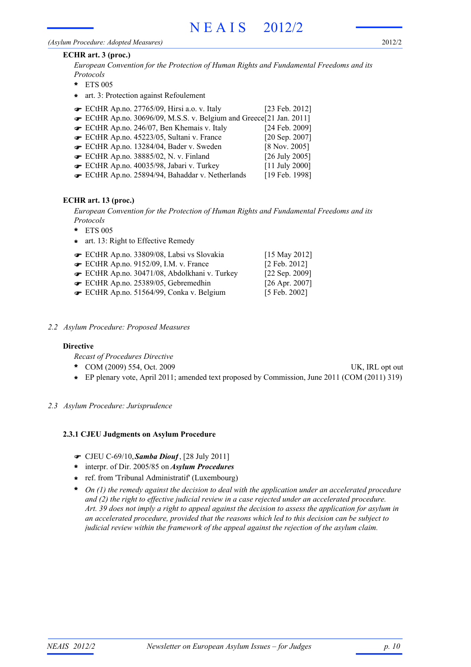#### *(Asylum Procedure: Adopted Measures)*

### **ECHR art. 3 (proc.)**

*European Convention for the Protection of Human Rights and Fundamental Freedoms and its Protocols*

- ETS 005 **\***
- **\*** art. 3: Protection against Refoulement
- ECtHR Ap.no. 27765/09, Hirsi a.o. v. Italy [23 Feb. 2012] !
- ECtHR Ap.no. 30696/09, M.S.S. v. Belgium and Greece[21 Jan. 2011] !
- ECtHR Ap.no. 246/07, Ben Khemais v. Italy [24 Feb. 2009] !
- ECtHR Ap.no. 45223/05, Sultani v. France [20 Sep. 2007] !
- ECtHR Ap.no. 13284/04, Bader v. Sweden [8 Nov. 2005] !
- ECtHR Ap.no. 38885/02, N. v. Finland [26 July 2005] !
- ECtHR Ap.no. 40035/98, Jabari v. Turkey [11 July 2000] !
- ECtHR Ap.no. 25894/94, Bahaddar v. Netherlands [19 Feb. 1998] !

# **ECHR art. 13 (proc.)**

*European Convention for the Protection of Human Rights and Fundamental Freedoms and its Protocols*

- ETS 005 **\***
- **\*** art. 13: Right to Effective Remedy

| ECtHR Ap.no. 33809/08, Labsi vs Slovakia    | $[15 \text{ May } 2012]$ |
|---------------------------------------------|--------------------------|
| <b>ECtHR Ap.no. 9152/09, I.M. v. France</b> | [2 Feb. 2012]            |
| ECtHR Ap.no. 30471/08, Abdolkhani v. Turkey | [22 Sep. 2009]           |
| ECtHR Ap.no. 25389/05, Gebremedhin          | $[26$ Apr. 2007]         |
| ECtHR Ap.no. 51564/99, Conka v. Belgium     | [5 Feb. 2002]            |

*2.2 Asylum Procedure: Proposed Measures*

## **Directive**

*Recast of Procedures Directive*

- COM (2009) 554, Oct. 2009 UK, IRL opt out **\***
	-
- **\*** EP plenary vote, April 2011; amended text proposed by Commission, June 2011 (COM (2011) 319)
- *2.3 Asylum Procedure: Jurisprudence*

## **2.3.1 CJEU Judgments on Asylum Procedure**

- ! CJEU C-69/10,*Samba Diouf*, [28 July 2011]
- interpr. of Dir. 2005/85 on *Asylum Procedures* **\***
- ref. from 'Tribunal Administratif' (Luxembourg) **\***
- *On (1) the remedy against the decision to deal with the application under an accelerated procedure* **\*** *and (2) the right to effective judicial review in a case rejected under an accelerated procedure. Art. 39 does not imply a right to appeal against the decision to assess the application for asylum in an accelerated procedure, provided that the reasons which led to this decision can be subject to judicial review within the framework of the appeal against the rejection of the asylum claim.*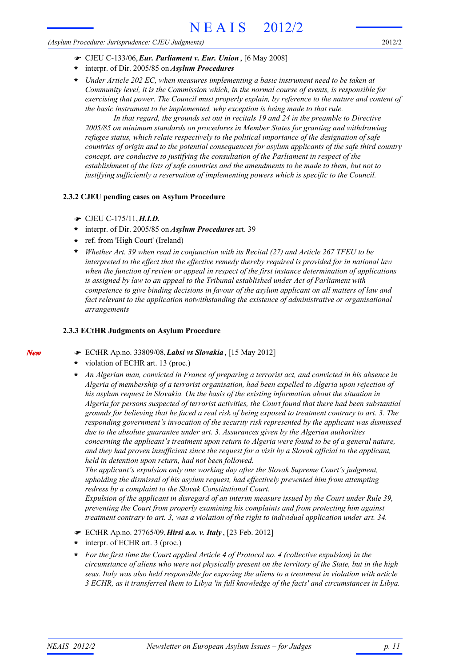#### *(Asylum Procedure: Jurisprudence: CJEU Judgments)*

- ! CJEU C-133/06,*Eur. Parliament v. Eur. Union* , [6 May 2008]
- interpr. of Dir. 2005/85 on *Asylum Procedures* **\***
- *Under Article 202 EC, when measures implementing a basic instrument need to be taken at Community level, it is the Commission which, in the normal course of events, is responsible for exercising that power. The Council must properly explain, by reference to the nature and content of the basic instrument to be implemented, why exception is being made to that rule.* **\***

*In that regard, the grounds set out in recitals 19 and 24 in the preamble to Directive 2005/85 on minimum standards on procedures in Member States for granting and withdrawing refugee status, which relate respectively to the political importance of the designation of safe countries of origin and to the potential consequences for asylum applicants of the safe third country concept, are conducive to justifying the consultation of the Parliament in respect of the establishment of the lists of safe countries and the amendments to be made to them, but not to justifying sufficiently a reservation of implementing powers which is specific to the Council.*

## **2.3.2 CJEU pending cases on Asylum Procedure**

- ! CJEU C-175/11,*H.I.D.*
- interpr. of Dir. 2005/85 on *Asylum Procedures* art. 39 **\***
- ref. from 'High Court' (Ireland) **\***
- *Whether Art. 39 when read in conjunction with its Recital (27) and Article 267 TFEU to be interpreted to the effect that the effective remedy thereby required is provided for in national law when the function of review or appeal in respect of the first instance determination of applications is assigned by law to an appeal to the Tribunal established under Act of Parliament with competence to give binding decisions in favour of the asylum applicant on all matters of law and fact relevant to the application notwithstanding the existence of administrative or organisational arrangements* **\***

## **2.3.3 ECtHR Judgments on Asylum Procedure**

- ! ECtHR Ap.no. 33809/08,*Labsi vs Slovakia* , [15 May 2012]
- violation of ECHR art. 13 (proc.) **\***
- *An Algerian man, convicted in France of preparing a terrorist act, and convicted in his absence in Algeria of membership of a terrorist organisation, had been expelled to Algeria upon rejection of his asylum request in Slovakia. On the basis of the existing information about the situation in Algeria for persons suspected of terrorist activities, the Court found that there had been substantial grounds for believing that he faced a real risk of being exposed to treatment contrary to art. 3. The responding government's invocation of the security risk represented by the applicant was dismissed due to the absolute guarantee under art. 3. Assurances given by the Algerian authorities concerning the applicant's treatment upon return to Algeria were found to be of a general nature, and they had proven insufficient since the request for a visit by a Slovak official to the applicant, held in detention upon return, had not been followed.* **\***

*The applicant's expulsion only one working day after the Slovak Supreme Court's judgment, upholding the dismissal of his asylum request, had effectively prevented him from attempting redress by a complaint to the Slovak Constitutional Court.*

*Expulsion of the applicant in disregard of an interim measure issued by the Court under Rule 39, preventing the Court from properly examining his complaints and from protecting him against treatment contrary to art. 3, was a violation of the right to individual application under art. 34.*

- ! ECtHR Ap.no. 27765/09,*Hirsi a.o. v. Italy* , [23 Feb. 2012]
- interpr. of ECHR art. 3 (proc.) **\***
- *For the first time the Court applied Article 4 of Protocol no. 4 (collective expulsion) in the circumstance of aliens who were not physically present on the territory of the State, but in the high seas. Italy was also held responsible for exposing the aliens to a treatment in violation with article 3 ECHR, as it transferred them to Libya 'in full knowledge of the facts' and circumstances in Libya.* **\***

*New*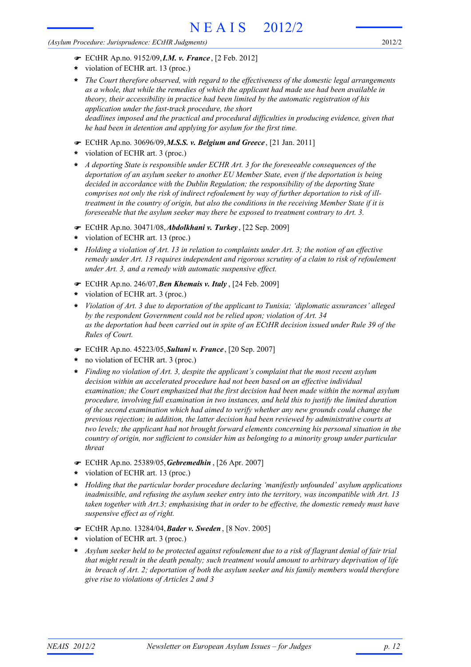*(Asylum Procedure: Jurisprudence: ECtHR Judgments)*

- ! ECtHR Ap.no. 9152/09,*I.M. v. France* , [2 Feb. 2012]
- violation of ECHR art. 13 (proc.) **\***
- *The Court therefore observed, with regard to the effectiveness of the domestic legal arrangements as a whole, that while the remedies of which the applicant had made use had been available in theory, their accessibility in practice had been limited by the automatic registration of his application under the fast-track procedure, the short deadlines imposed and the practical and procedural difficulties in producing evidence, given that he had been in detention and applying for asylum for the first time.* **\***
- ! ECtHR Ap.no. 30696/09,*M.S.S. v. Belgium and Greece* , [21 Jan. 2011]
- violation of ECHR art. 3 (proc.) **\***
- *A deporting State is responsible under ECHR Art. 3 for the foreseeable consequences of the deportation of an asylum seeker to another EU Member State, even if the deportation is being decided in accordance with the Dublin Regulation; the responsibility of the deporting State comprises not only the risk of indirect refoulement by way of further deportation to risk of illtreatment in the country of origin, but also the conditions in the receiving Member State if it is foreseeable that the asylum seeker may there be exposed to treatment contrary to Art. 3.* **\***
- ! ECtHR Ap.no. 30471/08,*Abdolkhani v. Turkey* , [22 Sep. 2009]
- violation of ECHR art. 13 (proc.) **\***
- *Holding a violation of Art. 13 in relation to complaints under Art. 3; the notion of an effective remedy under Art. 13 requires independent and rigorous scrutiny of a claim to risk of refoulement under Art. 3, and a remedy with automatic suspensive effect.* **\***
- ! ECtHR Ap.no. 246/07,*Ben Khemais v. Italy* , [24 Feb. 2009]
- violation of ECHR art. 3 (proc.) **\***
- *Violation of Art. 3 due to deportation of the applicant to Tunisia; 'diplomatic assurances' alleged by the respondent Government could not be relied upon; violation of Art. 34 as the deportation had been carried out in spite of an ECtHR decision issued under Rule 39 of the Rules of Court.* **\***
- ! ECtHR Ap.no. 45223/05,*Sultani v. France*, [20 Sep. 2007]
- no violation of ECHR art. 3 (proc.) **\***
- *Finding no violation of Art. 3, despite the applicant's complaint that the most recent asylum decision within an accelerated procedure had not been based on an effective individual examination; the Court emphasized that the first decision had been made within the normal asylum procedure, involving full examination in two instances, and held this to justify the limited duration of the second examination which had aimed to verify whether any new grounds could change the previous rejection; in addition, the latter decision had been reviewed by administrative courts at two levels; the applicant had not brought forward elements concerning his personal situation in the country of origin, nor sufficient to consider him as belonging to a minority group under particular threat* **\***
- ! ECtHR Ap.no. 25389/05,*Gebremedhin* , [26 Apr. 2007]
- violation of ECHR art. 13 (proc.) **\***
- *Holding that the particular border procedure declaring 'manifestly unfounded' asylum applications inadmissible, and refusing the asylum seeker entry into the territory, was incompatible with Art. 13 taken together with Art.3; emphasising that in order to be effective, the domestic remedy must have suspensive effect as of right.* **\***
- ! ECtHR Ap.no. 13284/04,*Bader v. Sweden* , [8 Nov. 2005]
- violation of ECHR art. 3 (proc.) **\***
- *Asylum seeker held to be protected against refoulement due to a risk of flagrant denial of fair trial that might result in the death penalty; such treatment would amount to arbitrary deprivation of life in breach of Art. 2; deportation of both the asylum seeker and his family members would therefore give rise to violations of Articles 2 and 3* **\***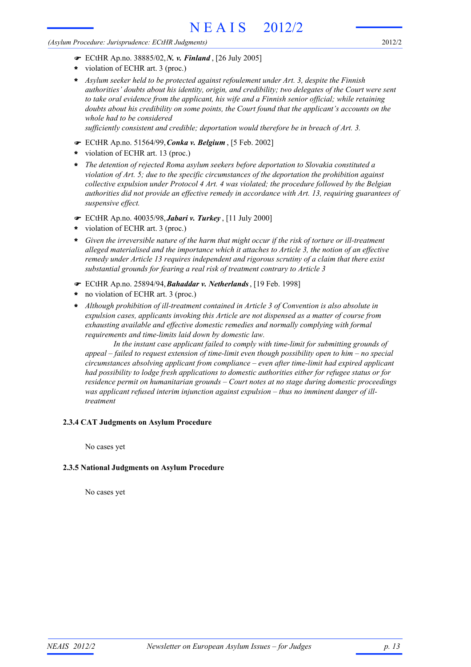#### *(Asylum Procedure: Jurisprudence: ECtHR Judgments)*

- ! ECtHR Ap.no. 38885/02,*N. v. Finland* , [26 July 2005]
- violation of ECHR art. 3 (proc.) **\***
- *Asylum seeker held to be protected against refoulement under Art. 3, despite the Finnish authorities' doubts about his identity, origin, and credibility; two delegates of the Court were sent to take oral evidence from the applicant, his wife and a Finnish senior official; while retaining doubts about his credibility on some points, the Court found that the applicant's accounts on the whole had to be considered* **\***

*sufficiently consistent and credible; deportation would therefore be in breach of Art. 3.*

- ! ECtHR Ap.no. 51564/99,*Conka v. Belgium* , [5 Feb. 2002]
- violation of ECHR art. 13 (proc.) **\***
- *The detention of rejected Roma asylum seekers before deportation to Slovakia constituted a violation of Art. 5; due to the specific circumstances of the deportation the prohibition against collective expulsion under Protocol 4 Art. 4 was violated; the procedure followed by the Belgian authorities did not provide an effective remedy in accordance with Art. 13, requiring guarantees of suspensive effect.* **\***
- ! ECtHR Ap.no. 40035/98,*Jabari v. Turkey* , [11 July 2000]
- violation of ECHR art. 3 (proc.) **\***
- *Given the irreversible nature of the harm that might occur if the risk of torture or ill-treatment* **\*** *alleged materialised and the importance which it attaches to Article 3, the notion of an effective remedy under Article 13 requires independent and rigorous scrutiny of a claim that there exist substantial grounds for fearing a real risk of treatment contrary to Article 3*
- ! ECtHR Ap.no. 25894/94,*Bahaddar v. Netherlands*, [19 Feb. 1998]
- no violation of ECHR art. 3 (proc.) **\***
- *Although prohibition of ill-treatment contained in Article 3 of Convention is also absolute in expulsion cases, applicants invoking this Article are not dispensed as a matter of course from exhausting available and effective domestic remedies and normally complying with formal requirements and time-limits laid down by domestic law.* **\***

*In the instant case applicant failed to comply with time-limit for submitting grounds of appeal – failed to request extension of time-limit even though possibility open to him – no special circumstances absolving applicant from compliance – even after time-limit had expired applicant had possibility to lodge fresh applications to domestic authorities either for refugee status or for residence permit on humanitarian grounds – Court notes at no stage during domestic proceedings was applicant refused interim injunction against expulsion – thus no imminent danger of illtreatment*

## **2.3.4 CAT Judgments on Asylum Procedure**

No cases yet

## **2.3.5 National Judgments on Asylum Procedure**

No cases yet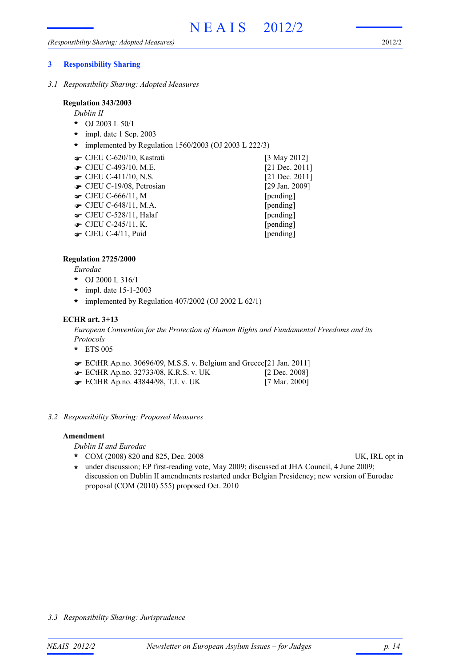## **3 Responsibility Sharing**

*3.1 Responsibility Sharing: Adopted Measures*

#### **Regulation 343/2003**

*Dublin II*

- OJ 2003 L 50/1 **\***
- impl. date 1 Sep. 2003 **\***
- **\*** implemented by Regulation 1560/2003 (OJ 2003 L 222/3)
- CJEU C-620/10, Kastrati [3 May 2012] !
- **■** CJEU C-493/10, M.E. [21 Dec. 2011]
- CJEU C-411/10, N.S. [21 Dec. 2011]
- **■** CJEU C-19/08, Petrosian [29 Jan. 2009]
- $\bullet$  CJEU C-666/11, M [pending]
- **The CJEU C-648/11, M.A.** [pending]
- CJEU C-528/11, Halaf [pending]
- **•** CJEU C-245/11, K. [pending]
- CJEU C-4/11, Puid [pending]

# **Regulation 2725/2000**

*Eurodac*

- OJ 2000 L 316/1 **\***
- impl. date 15-1-2003 **\***
- **\*** implemented by Regulation 407/2002 (OJ 2002 L 62/1)

## **ECHR art. 3+13**

*European Convention for the Protection of Human Rights and Fundamental Freedoms and its Protocols*

- ETS 005 **\***
- ECtHR Ap.no. 30696/09, M.S.S. v. Belgium and Greece[21 Jan. 2011] !
- **■** ECtHR Ap.no. 32733/08, K.R.S. v. UK [2 Dec. 2008]
- ECtHR Ap.no. 43844/98, T.I. v. UK [7 Mar. 2000] !
- *3.2 Responsibility Sharing: Proposed Measures*

## **Amendment**

*Dublin II and Eurodac*

- \* COM (2008) 820 and 825, Dec. 2008 UK, IRL opt in
	-
- under discussion; EP first-reading vote, May 2009; discussed at JHA Council, 4 June 2009; **\*** discussion on Dublin II amendments restarted under Belgian Presidency; new version of Eurodac proposal (COM (2010) 555) proposed Oct. 2010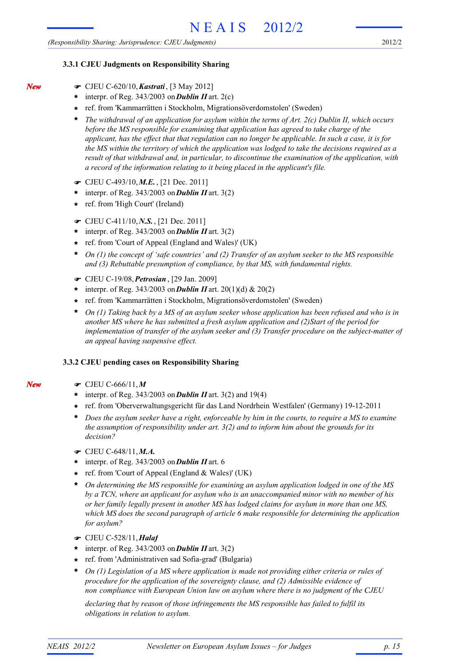#### **3.3.1 CJEU Judgments on Responsibility Sharing**

! CJEU C-620/10,*Kastrati*, [3 May 2012]

*New*

- $\star$  interpr. of Reg. 343/2003 on **Dublin II** art. 2(c)
- ref. from 'Kammarrätten i Stockholm, Migrationsöverdomstolen' (Sweden) **\***
- *The withdrawal of an application for asylum within the terms of Art. 2(c) Dublin II, which occurs before the MS responsible for examining that application has agreed to take charge of the applicant, has the effect that that regulation can no longer be applicable. In such a case, it is for the MS within the territory of which the application was lodged to take the decisions required as a result of that withdrawal and, in particular, to discontinue the examination of the application, with a record of the information relating to it being placed in the applicant's file.* **\***
- ! CJEU C-493/10,*M.E.* , [21 Dec. 2011]
- $*$  interpr. of Reg. 343/2003 on **Dublin II** art. 3(2)
- ref. from 'High Court' (Ireland) **\***
- ! CJEU C-411/10,*N.S.*, [21 Dec. 2011]
- interpr. of Reg. 343/2003 on*Dublin II* art. 3(2) **\***
- ref. from 'Court of Appeal (England and Wales)' (UK) **\***
- *On (1) the concept of 'safe countries' and (2) Transfer of an asylum seeker to the MS responsible and (3) Rebuttable presumption of compliance, by that MS, with fundamental rights.* **\***
- ! CJEU C-19/08,*Petrosian* , [29 Jan. 2009]
- \* interpr. of Reg. 343/2003 on **Dublin II** art. 20(1)(d) & 20(2)
- ref. from 'Kammarrätten i Stockholm, Migrationsöverdomstolen' (Sweden) **\***
- *On (1) Taking back by a MS of an asylum seeker whose application has been refused and who is in another MS where he has submitted a fresh asylum application and (2)Start of the period for implementation of transfer of the asylum seeker and (3) Transfer procedure on the subject-matter of an appeal having suspensive effect.* **\***

#### **3.3.2 CJEU pending cases on Responsibility Sharing**

! CJEU C-666/11,*M*

*New*

- \* interpr. of Reg. 343/2003 on **Dublin II** art. 3(2) and 19(4)
- ref. from 'Oberverwaltungsgericht für das Land Nordrhein Westfalen' (Germany) 19-12-2011 **\***
- *Does the asylum seeker have a right, enforceable by him in the courts, to require a MS to examine the assumption of responsibility under art. 3(2) and to inform him about the grounds for its decision?* **\***
- ! CJEU C-648/11,*M.A.*
- interpr. of Reg. 343/2003 on*Dublin II* art. 6 **\***
- ref. from 'Court of Appeal (England & Wales)' (UK) **\***
- *On determining the MS responsible for examining an asylum application lodged in one of the MS by a TCN, where an applicant for asylum who is an unaccompanied minor with no member of his or her family legally present in another MS has lodged claims for asylum in more than one MS, which MS does the second paragraph of article 6 make responsible for determining the application for asylum?* **\***
- ! CJEU C-528/11,*Halaf*
- interpr. of Reg. 343/2003 on*Dublin II* art. 3(2) **\***
- ref. from 'Administrativen sad Sofia-grad' (Bulgaria) **\***
- *On (1) Legislation of a MS where application is made not providing either criteria or rules of procedure for the application of the sovereignty clause, and (2) Admissible evidence of non compliance with European Union law on asylum where there is no judgment of the CJEU* **\***

*declaring that by reason of those infringements the MS responsible has failed to fulfil its obligations in relation to asylum.*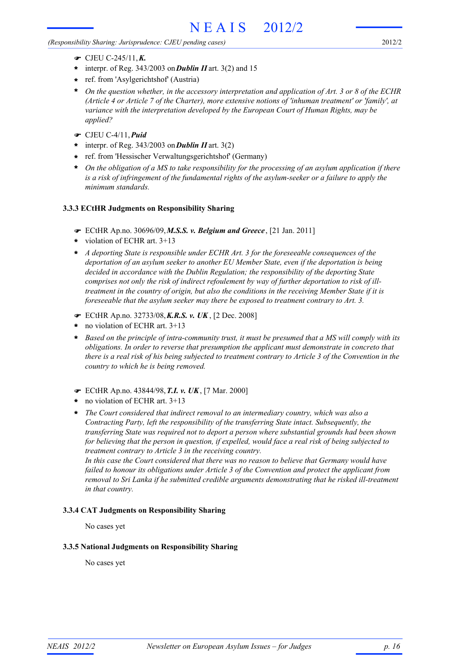*(Responsibility Sharing: Jurisprudence: CJEU pending cases)*

- ! CJEU C-245/11,*K.*
- \* interpr. of Reg. 343/2003 on **Dublin II** art. 3(2) and 15
- ref. from 'Asylgerichtshof' (Austria) **\***
- *On the question whether, in the accessory interpretation and application of Art. 3 or 8 of the ECHR (Article 4 or Article 7 of the Charter), more extensive notions of 'inhuman treatment' or 'family', at variance with the interpretation developed by the European Court of Human Rights, may be applied?* **\***
- ! CJEU C-4/11,*Puid*
- interpr. of Reg. 343/2003 on*Dublin II* art. 3(2) **\***
- ref. from 'Hessischer Verwaltungsgerichtshof' (Germany) **\***
- *On the obligation of a MS to take responsibility for the processing of an asylum application if there is a risk of infringement of the fundamental rights of the asylum-seeker or a failure to apply the minimum standards.* **\***

## **3.3.3 ECtHR Judgments on Responsibility Sharing**

- ! ECtHR Ap.no. 30696/09,*M.S.S. v. Belgium and Greece* , [21 Jan. 2011]
- violation of ECHR art. 3+13 **\***
- *A deporting State is responsible under ECHR Art. 3 for the foreseeable consequences of the* **\*** *deportation of an asylum seeker to another EU Member State, even if the deportation is being decided in accordance with the Dublin Regulation; the responsibility of the deporting State comprises not only the risk of indirect refoulement by way of further deportation to risk of illtreatment in the country of origin, but also the conditions in the receiving Member State if it is foreseeable that the asylum seeker may there be exposed to treatment contrary to Art. 3.*
- ! ECtHR Ap.no. 32733/08,*K.R.S. v. UK* , [2 Dec. 2008]
- no violation of ECHR art. 3+13 **\***
- *Based on the principle of intra-community trust, it must be presumed that a MS will comply with its obligations. In order to reverse that presumption the applicant must demonstrate in concreto that there is a real risk of his being subjected to treatment contrary to Article 3 of the Convention in the country to which he is being removed.* **\***
- ! ECtHR Ap.no. 43844/98,*T.I. v. UK*, [7 Mar. 2000]
- no violation of ECHR art. 3+13 **\***
- *The Court considered that indirect removal to an intermediary country, which was also a Contracting Party, left the responsibility of the transferring State intact. Subsequently, the transferring State was required not to deport a person where substantial grounds had been shown for believing that the person in question, if expelled, would face a real risk of being subjected to treatment contrary to Article 3 in the receiving country.* **\***

*In this case the Court considered that there was no reason to believe that Germany would have failed to honour its obligations under Article 3 of the Convention and protect the applicant from removal to Sri Lanka if he submitted credible arguments demonstrating that he risked ill-treatment in that country.*

## **3.3.4 CAT Judgments on Responsibility Sharing**

No cases yet

## **3.3.5 National Judgments on Responsibility Sharing**

No cases yet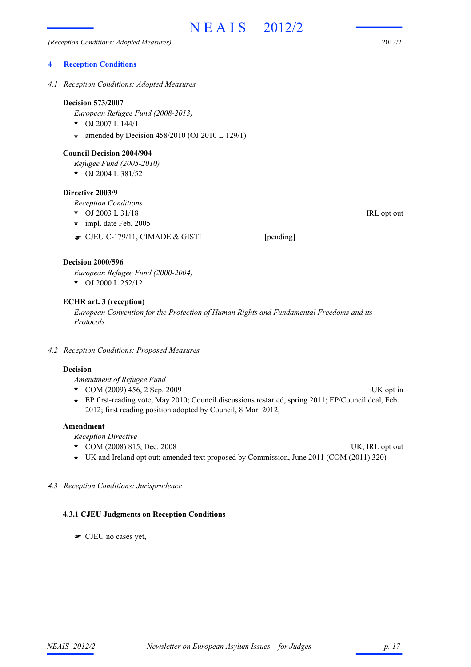#### **4 Reception Conditions**

*4.1 Reception Conditions: Adopted Measures*

#### **Decision 573/2007**

*European Refugee Fund (2008-2013)*

- OJ 2007 L 144/1 **\***
- amended by Decision 458/2010 (OJ 2010 L 129/1) **\***

#### **Council Decision 2004/904**

*Refugee Fund (2005-2010)*

OJ 2004 L 381/52 **\***

#### **Directive 2003/9**

*Reception Conditions*

- \* OJ 2003 L 31/18 IRL opt out
- impl. date Feb. 2005 **\***
- CJEU C-179/11, CIMADE & GISTI [pending]

#### **Decision 2000/596**

*European Refugee Fund (2000-2004)*

OJ 2000 L 252/12 **\***

## **ECHR art. 3 (reception)**

*European Convention for the Protection of Human Rights and Fundamental Freedoms and its Protocols*

*4.2 Reception Conditions: Proposed Measures*

## **Decision**

*Amendment of Refugee Fund*

- COM (2009) 456, 2 Sep. 2009 UK opt in **\***
- EP first-reading vote, May 2010; Council discussions restarted, spring 2011; EP/Council deal, Feb. **\*** 2012; first reading position adopted by Council, 8 Mar. 2012;

#### **Amendment**

*Reception Directive*

- \* COM (2008) 815, Dec. 2008 UK, IRL opt out
- **\*** UK and Ireland opt out; amended text proposed by Commission, June 2011 (COM (2011) 320)

#### *4.3 Reception Conditions: Jurisprudence*

#### **4.3.1 CJEU Judgments on Reception Conditions**

! CJEU no cases yet,